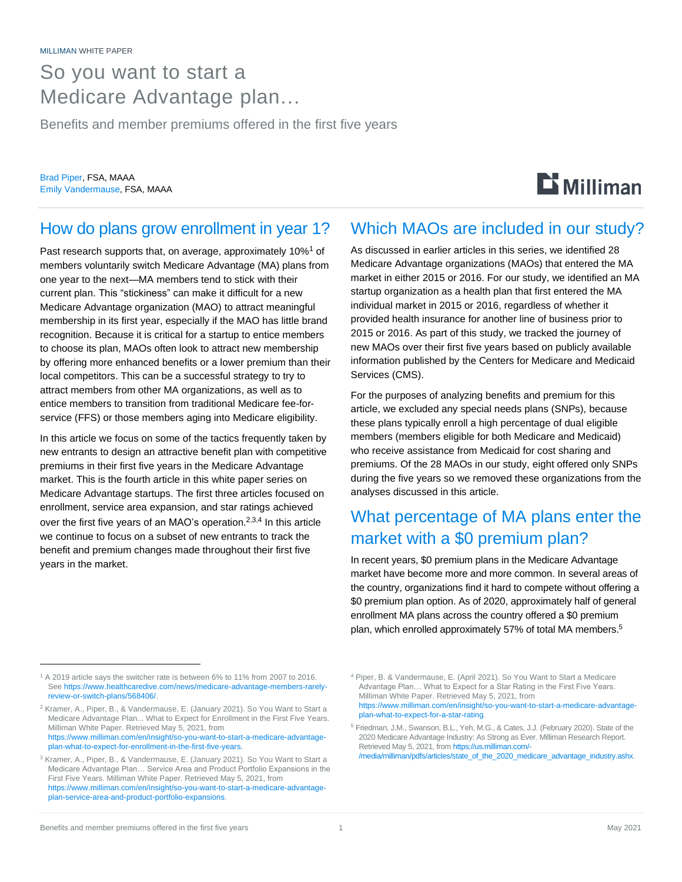### So you want to start a Medicare Advantage plan…

Benefits and member premiums offered in the first five years

Brad Piper, FSA, MAAA Emily Vandermause, FSA, MAAA

# $\mathbf{D}$  Milliman

#### How do plans grow enrollment in year 1?

Past research supports that, on average, approximately 10%<sup>1</sup> of members voluntarily switch Medicare Advantage (MA) plans from one year to the next—MA members tend to stick with their current plan. This "stickiness" can make it difficult for a new Medicare Advantage organization (MAO) to attract meaningful membership in its first year, especially if the MAO has little brand recognition. Because it is critical for a startup to entice members to choose its plan, MAOs often look to attract new membership by offering more enhanced benefits or a lower premium than their local competitors. This can be a successful strategy to try to attract members from other MA organizations, as well as to entice members to transition from traditional Medicare fee-forservice (FFS) or those members aging into Medicare eligibility.

In this article we focus on some of the tactics frequently taken by new entrants to design an attractive benefit plan with competitive premiums in their first five years in the Medicare Advantage market. This is the fourth article in this white paper series on Medicare Advantage startups. The first three articles focused on enrollment, service area expansion, and star ratings achieved over the first five years of an MAO's operation.<sup>2,3,4</sup> In this article we continue to focus on a subset of new entrants to track the benefit and premium changes made throughout their first five years in the market.

#### Which MAOs are included in our study?

As discussed in earlier articles in this series, we identified 28 Medicare Advantage organizations (MAOs) that entered the MA market in either 2015 or 2016. For our study, we identified an MA startup organization as a health plan that first entered the MA individual market in 2015 or 2016, regardless of whether it provided health insurance for another line of business prior to 2015 or 2016. As part of this study, we tracked the journey of new MAOs over their first five years based on publicly available information published by the Centers for Medicare and Medicaid Services (CMS).

For the purposes of analyzing benefits and premium for this article, we excluded any special needs plans (SNPs), because these plans typically enroll a high percentage of dual eligible members (members eligible for both Medicare and Medicaid) who receive assistance from Medicaid for cost sharing and premiums. Of the 28 MAOs in our study, eight offered only SNPs during the five years so we removed these organizations from the analyses discussed in this article.

### What percentage of MA plans enter the market with a \$0 premium plan?

In recent years, \$0 premium plans in the Medicare Advantage market have become more and more common. In several areas of the country, organizations find it hard to compete without offering a \$0 premium plan option. As of 2020, approximately half of general enrollment MA plans across the country offered a \$0 premium plan, which enrolled approximately 57% of total MA members. 5

<sup>1</sup> A 2019 article says the switcher rate is between 6% to 11% from 2007 to 2016. Se[e https://www.healthcaredive.com/news/medicare-advantage-members-rarely](https://www.healthcaredive.com/news/medicare-advantage-members-rarely-review-or-switch-plans/568406/)[review-or-switch-plans/568406/.](https://www.healthcaredive.com/news/medicare-advantage-members-rarely-review-or-switch-plans/568406/)

<sup>2</sup> Kramer, A., Piper, B., & Vandermause, E. (January 2021). So You Want to Start a Medicare Advantage Plan... What to Expect for Enrollment in the First Five Years. Milliman White Paper. Retrieved May 5, 2021, from [https://www.milliman.com/en/insight/so-you-want-to-start-a-medicare-advantage](https://www.milliman.com/en/insight/so-you-want-to-start-a-medicare-advantage-plan-what-to-expect-for-enrollment-in-the-first-five-years)[plan-what-to-expect-for-enrollment-in-the-first-five-years.](https://www.milliman.com/en/insight/so-you-want-to-start-a-medicare-advantage-plan-what-to-expect-for-enrollment-in-the-first-five-years)

<sup>3</sup> Kramer, A., Piper, B., & Vandermause, E. (January 2021). So You Want to Start a Medicare Advantage Plan… Service Area and Product Portfolio Expansions in the First Five Years. Milliman White Paper. Retrieved May 5, 2021, from [https://www.milliman.com/en/insight/so-you-want-to-start-a-medicare-advantage](https://www.milliman.com/en/insight/so-you-want-to-start-a-medicare-advantage-plan-service-area-and-product-portfolio-expansions)[plan-service-area-and-product-portfolio-expansions.](https://www.milliman.com/en/insight/so-you-want-to-start-a-medicare-advantage-plan-service-area-and-product-portfolio-expansions)

<sup>4</sup> Piper, B. & Vandermause, E. (April 2021). So You Want to Start a Medicare Advantage Plan… What to Expect for a Star Rating in the First Five Years. Milliman White Paper. Retrieved May 5, 2021, from [https://www.milliman.com/en/insight/so-you-want-to-start-a-medicare-advantage](https://www.milliman.com/en/insight/so-you-want-to-start-a-medicare-advantage-plan-what-to-expect-for-a-star-rating)[plan-what-to-expect-for-a-star-rating.](https://www.milliman.com/en/insight/so-you-want-to-start-a-medicare-advantage-plan-what-to-expect-for-a-star-rating)

<sup>5</sup> Friedman, J.M., Swanson, B.L., Yeh, M.G., & Cates, J.J. (February 2020). State of the 2020 Medicare Advantage Industry: As Strong as Ever. Milliman Research Report. Retrieved May 5, 2021, fro[m https://us.milliman.com/-](https://us.milliman.com/-/media/milliman/pdfs/articles/state_of_the_2020_medicare_advantage_industry.ashx) [/media/milliman/pdfs/articles/state\\_of\\_the\\_2020\\_medicare\\_advantage\\_industry.ashx.](https://us.milliman.com/-/media/milliman/pdfs/articles/state_of_the_2020_medicare_advantage_industry.ashx)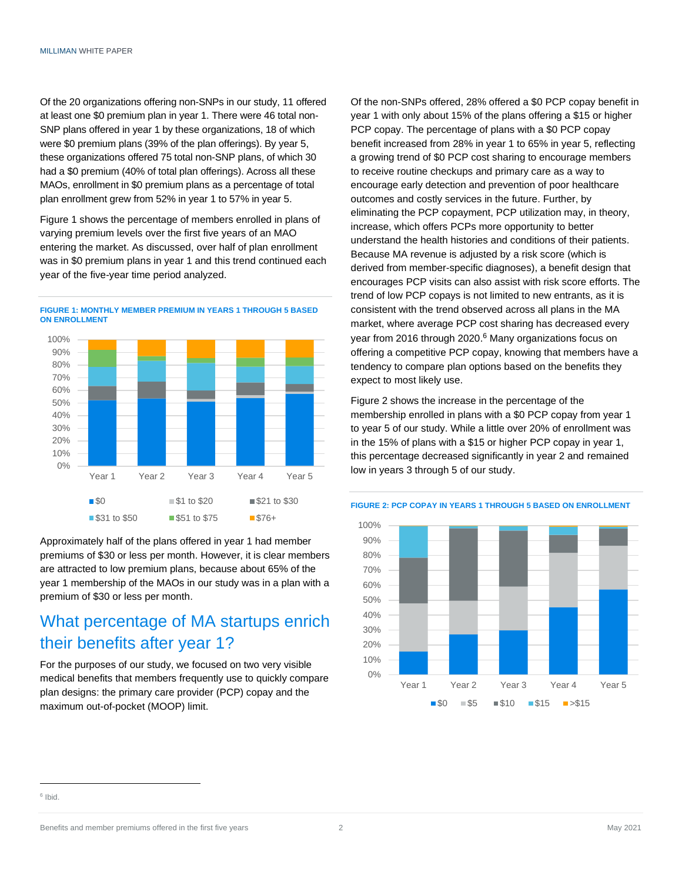Of the 20 organizations offering non-SNPs in our study, 11 offered at least one \$0 premium plan in year 1. There were 46 total non-SNP plans offered in year 1 by these organizations, 18 of which were \$0 premium plans (39% of the plan offerings). By year 5, these organizations offered 75 total non-SNP plans, of which 30 had a \$0 premium (40% of total plan offerings). Across all these MAOs, enrollment in \$0 premium plans as a percentage of total plan enrollment grew from 52% in year 1 to 57% in year 5.

Figure 1 shows the percentage of members enrolled in plans of varying premium levels over the first five years of an MAO entering the market. As discussed, over half of plan enrollment was in \$0 premium plans in year 1 and this trend continued each year of the five-year time period analyzed.



**FIGURE 1: MONTHLY MEMBER PREMIUM IN YEARS 1 THROUGH 5 BASED ON ENROLLMENT**

Approximately half of the plans offered in year 1 had member premiums of \$30 or less per month. However, it is clear members are attracted to low premium plans, because about 65% of the year 1 membership of the MAOs in our study was in a plan with a premium of \$30 or less per month.

#### What percentage of MA startups enrich their benefits after year 1?

For the purposes of our study, we focused on two very visible medical benefits that members frequently use to quickly compare plan designs: the primary care provider (PCP) copay and the maximum out-of-pocket (MOOP) limit.

Of the non-SNPs offered, 28% offered a \$0 PCP copay benefit in year 1 with only about 15% of the plans offering a \$15 or higher PCP copay. The percentage of plans with a \$0 PCP copay benefit increased from 28% in year 1 to 65% in year 5, reflecting a growing trend of \$0 PCP cost sharing to encourage members to receive routine checkups and primary care as a way to encourage early detection and prevention of poor healthcare outcomes and costly services in the future. Further, by eliminating the PCP copayment, PCP utilization may, in theory, increase, which offers PCPs more opportunity to better understand the health histories and conditions of their patients. Because MA revenue is adjusted by a risk score (which is derived from member-specific diagnoses), a benefit design that encourages PCP visits can also assist with risk score efforts. The trend of low PCP copays is not limited to new entrants, as it is consistent with the trend observed across all plans in the MA market, where average PCP cost sharing has decreased every year from 2016 through 2020.<sup>6</sup> Many organizations focus on offering a competitive PCP copay, knowing that members have a tendency to compare plan options based on the benefits they expect to most likely use.

Figure 2 shows the increase in the percentage of the membership enrolled in plans with a \$0 PCP copay from year 1 to year 5 of our study. While a little over 20% of enrollment was in the 15% of plans with a \$15 or higher PCP copay in year 1, this percentage decreased significantly in year 2 and remained low in years 3 through 5 of our study.



**FIGURE 2: PCP COPAY IN YEARS 1 THROUGH 5 BASED ON ENROLLMENT**

<sup>6</sup> Ibid.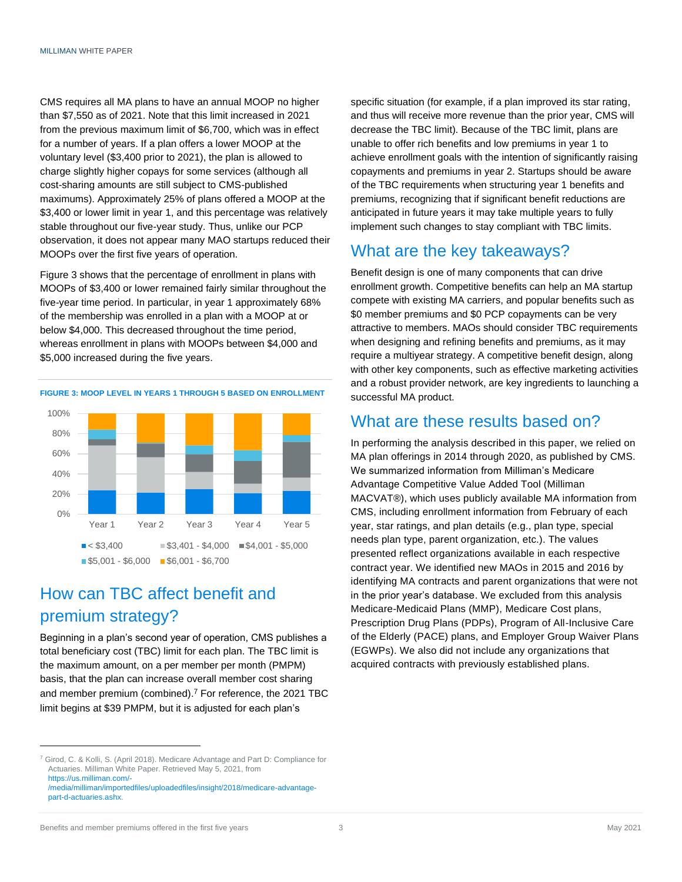CMS requires all MA plans to have an annual MOOP no higher than \$7,550 as of 2021. Note that this limit increased in 2021 from the previous maximum limit of \$6,700, which was in effect for a number of years. If a plan offers a lower MOOP at the voluntary level (\$3,400 prior to 2021), the plan is allowed to charge slightly higher copays for some services (although all cost-sharing amounts are still subject to CMS-published maximums). Approximately 25% of plans offered a MOOP at the \$3,400 or lower limit in year 1, and this percentage was relatively stable throughout our five-year study. Thus, unlike our PCP observation, it does not appear many MAO startups reduced their MOOPs over the first five years of operation.

Figure 3 shows that the percentage of enrollment in plans with MOOPs of \$3,400 or lower remained fairly similar throughout the five-year time period. In particular, in year 1 approximately 68% of the membership was enrolled in a plan with a MOOP at or below \$4,000. This decreased throughout the time period, whereas enrollment in plans with MOOPs between \$4,000 and \$5,000 increased during the five years.



#### How can TBC affect benefit and premium strategy?

Beginning in a plan's second year of operation, CMS publishes a total beneficiary cost (TBC) limit for each plan. The TBC limit is the maximum amount, on a per member per month (PMPM) basis, that the plan can increase overall member cost sharing and member premium (combined). <sup>7</sup> For reference, the 2021 TBC limit begins at \$39 PMPM, but it is adjusted for each plan's

<sup>7</sup> Girod, C. & Kolli, S. (April 2018). Medicare Advantage and Part D: Compliance for Actuaries. Milliman White Paper. Retrieved May 5, 2021, from [https://us.milliman.com/-](https://us.milliman.com/-/media/milliman/importedfiles/uploadedfiles/insight/2018/medicare-advantage-part-d-actuaries.ashx)

specific situation (for example, if a plan improved its star rating, and thus will receive more revenue than the prior year, CMS will decrease the TBC limit). Because of the TBC limit, plans are unable to offer rich benefits and low premiums in year 1 to achieve enrollment goals with the intention of significantly raising copayments and premiums in year 2. Startups should be aware of the TBC requirements when structuring year 1 benefits and premiums, recognizing that if significant benefit reductions are anticipated in future years it may take multiple years to fully implement such changes to stay compliant with TBC limits.

#### What are the key takeaways?

Benefit design is one of many components that can drive enrollment growth. Competitive benefits can help an MA startup compete with existing MA carriers, and popular benefits such as \$0 member premiums and \$0 PCP copayments can be very attractive to members. MAOs should consider TBC requirements when designing and refining benefits and premiums, as it may require a multiyear strategy. A competitive benefit design, along with other key components, such as effective marketing activities and a robust provider network, are key ingredients to launching a successful MA product.

#### What are these results based on?

In performing the analysis described in this paper, we relied on MA plan offerings in 2014 through 2020, as published by CMS. We summarized information from Milliman's Medicare Advantage Competitive Value Added Tool (Milliman MACVAT®), which uses publicly available MA information from CMS, including enrollment information from February of each year, star ratings, and plan details (e.g., plan type, special needs plan type, parent organization, etc.). The values presented reflect organizations available in each respective contract year. We identified new MAOs in 2015 and 2016 by identifying MA contracts and parent organizations that were not in the prior year's database. We excluded from this analysis Medicare-Medicaid Plans (MMP), Medicare Cost plans, Prescription Drug Plans (PDPs), Program of All-Inclusive Care of the Elderly (PACE) plans, and Employer Group Waiver Plans (EGWPs). We also did not include any organizations that acquired contracts with previously established plans.

[<sup>/</sup>media/milliman/importedfiles/uploadedfiles/insight/2018/medicare-advantage](https://us.milliman.com/-/media/milliman/importedfiles/uploadedfiles/insight/2018/medicare-advantage-part-d-actuaries.ashx)[part-d-actuaries.ashx.](https://us.milliman.com/-/media/milliman/importedfiles/uploadedfiles/insight/2018/medicare-advantage-part-d-actuaries.ashx)